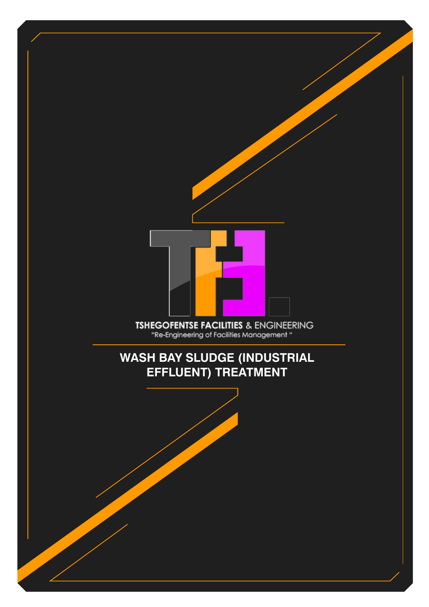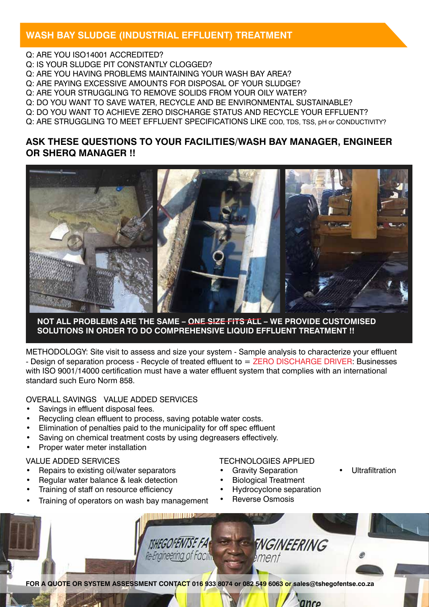## **WASH BAY SLUDGE (INDUSTRIAL EFFLUENT) TREATMENT**

Q: ARE YOU ISO14001 ACCREDITED? Q: IS YOUR SLUDGE PIT CONSTANTLY CLOGGED? Q: ARE YOU HAVING PROBLEMS MAINTAINING YOUR WASH BAY AREA? Q: ARE PAYING EXCESSIVE AMOUNTS FOR DISPOSAL OF YOUR SLUDGE? Q: ARE YOUR STRUGGLING TO REMOVE SOLIDS FROM YOUR OILY WATER? Q: DO YOU WANT TO SAVE WATER, RECYCLE AND BE ENVIRONMENTAL SUSTAINABLE? Q: DO YOU WANT TO ACHIEVE ZERO DISCHARGE STATUS AND RECYCLE YOUR EFFLUENT? Q: ARE STRUGGLING TO MEET EFFLUENT SPECIFICATIONS LIKE COD, TDS, TSS, pH or CONDUCTIVITY?

## **ASK THESE QUESTIONS TO YOUR FACILITIES/WASH BAY MANAGER, ENGINEER OR SHERQ MANAGER !!**



#### **NOT ALL PROBLEMS ARE THE SAME – ONE SIZE FITS ALL – WE PROVIDE CUSTOMISED SOLUTIONS IN ORDER TO DO COMPREHENSIVE LIQUID EFFLUENT TREATMENT !!**

METHODOLOGY: Site visit to assess and size your system - Sample analysis to characterize your effluent - Design of separation process - Recycle of treated effluent to = ZERO DISCHARGE DRIVER: Businesses with ISO 9001/14000 certification must have a water effluent system that complies with an international standard such Euro Norm 858.

### OVERALL SAVINGS VALUE ADDED SERVICES

- Savings in effluent disposal fees.
- Recycling clean effluent to process, saving potable water costs.
- Elimination of penalties paid to the municipality for off spec effluent
- Saving on chemical treatment costs by using degreasers effectively.
- Proper water meter installation

#### VALUE ADDED SERVICES

- Repairs to existing oil/water separators
- Regular water balance & leak detection
- Training of staff on resource efficiency
- Training of operators on wash bay management

#### TECHNOLOGIES APPLIED

- **Gravity Separation Biological Treatment**
- **Hydrocyclone separation**

anco

**Ultrafiltration** 

**Reverse Osmosis** 

**TSHEGOFENTSE FA FNGINEERING** Re-Engineering of Facilit ment **FOR A QUOTE OR SYSTEM ASSESSMENT CONTACT 016 933 8074 or 082 549 6063 or sales@tshegofentse.co.za**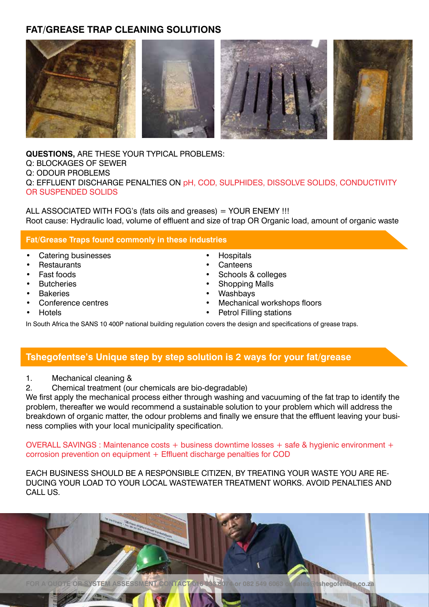# **FAT/GREASE TRAP CLEANING SOLUTIONS**



**QUESTIONS,** ARE THESE YOUR TYPICAL PROBLEMS: Q: BLOCKAGES OF SEWER Q: ODOUR PROBLEMS Q: EFFLUENT DISCHARGE PENALTIES ON pH, COD, SULPHIDES, DISSOLVE SOLIDS, CONDUCTIVITY OR SUSPENDED SOLIDS

ALL ASSOCIATED WITH FOG's (fats oils and greases) = YOUR ENEMY !!! Root cause: Hydraulic load, volume of effluent and size of trap OR Organic load, amount of organic waste

#### **Fat/Grease Traps found commonly in these industries**

- • Catering businesses
- **Restaurants**
- **Fast foods**
- **Butcheries**
- **Bakeries**
- Conference centres
- **Hotels**
- **Hospitals Canteens**
- Schools & colleges
- Shopping Malls
- **Washbays**
- Mechanical workshops floors
- **Petrol Filling stations**
- In South Africa the SANS 10 400P national building regulation covers the design and specifications of grease traps.

## **Tshegofentse's Unique step by step solution is 2 ways for your fat/grease**

- 1. Mechanical cleaning &
- 2. Chemical treatment (our chemicals are bio-degradable)

We first apply the mechanical process either through washing and vacuuming of the fat trap to identify the problem, thereafter we would recommend a sustainable solution to your problem which will address the breakdown of organic matter, the odour problems and finally we ensure that the effluent leaving your business complies with your local municipality specification.

OVERALL SAVINGS : Maintenance costs + business downtime losses + safe & hygienic environment + corrosion prevention on equipment + Effluent discharge penalties for COD

EACH BUSINESS SHOULD BE A RESPONSIBLE CITIZEN, BY TREATING YOUR WASTE YOU ARE RE-DUCING YOUR LOAD TO YOUR LOCAL WASTEWATER TREATMENT WORKS. AVOID PENALTIES AND CALL US.